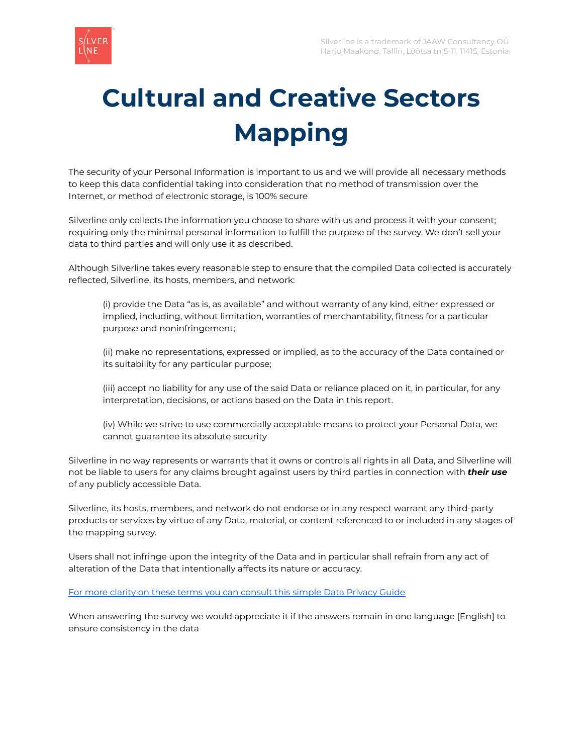

# **Cultural and Creative Sectors Mapping**

The security of your Personal Information is important to us and we will provide all necessary methods to keep this data confidential taking into consideration that no method of transmission over the Internet, or method of electronic storage, is 100% secure

Silverline only collects the information you choose to share with us and process it with your consent; requiring only the minimal personal information to fulfill the purpose of the survey. We don't sell your data to third parties and will only use it as described.

Although Silverline takes every reasonable step to ensure that the compiled Data collected is accurately reflected, Silverline, its hosts, members, and network:

(i) provide the Data "as is, as available" and without warranty of any kind, either expressed or implied, including, without limitation, warranties of merchantability, fitness for a particular purpose and noninfringement;

(ii) make no representations, expressed or implied, as to the accuracy of the Data contained or its suitability for any particular purpose;

(iii) accept no liability for any use of the said Data or reliance placed on it, in particular, for any interpretation, decisions, or actions based on the Data in this report.

(iv) While we strive to use commercially acceptable means to protect your Personal Data, we cannot guarantee its absolute security

Silverline in no way represents or warrants that it owns or controls all rights in all Data, and Silverline will not be liable to users for any claims brought against users by third parties in connection with *their use* of any publicly accessible Data.

Silverline, its hosts, members, and network do not endorse or in any respect warrant any third-party products or services by virtue of any Data, material, or content referenced to or included in any stages of the mapping survey.

Users shall not infringe upon the integrity of the Data and in particular shall refrain from any act of alteration of the Data that intentionally affects its nature or accuracy.

#### For more clarity on these terms you can [consult](https://www.varonis.com/blog/data-privacy/) this simple Data Privacy Guide

When answering the survey we would appreciate it if the answers remain in one language [English] to ensure consistency in the data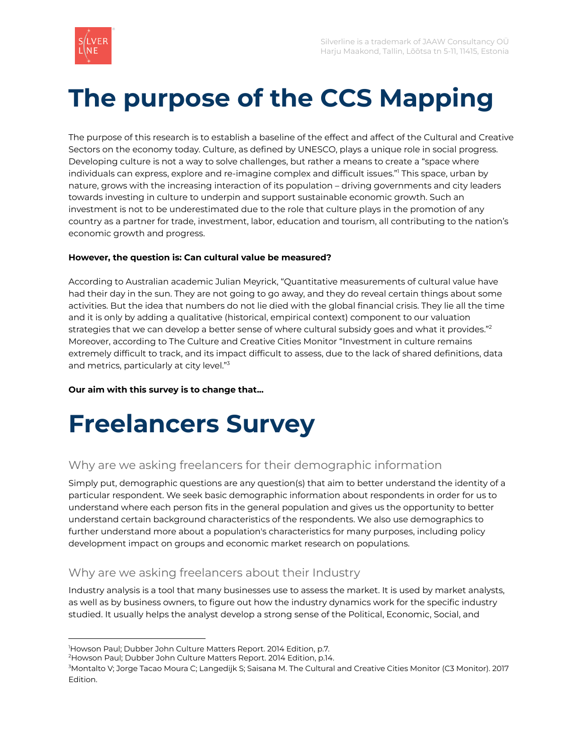

## **The purpose of the CCS Mapping**

The purpose of this research is to establish a baseline of the effect and affect of the Cultural and Creative Sectors on the economy today. Culture, as defined by UNESCO, plays a unique role in social progress. Developing culture is not a way to solve challenges, but rather a means to create a "space where individuals can express, explore and re-imagine complex and difficult issues." <sup>1</sup> This space, urban by nature, grows with the increasing interaction of its population – driving governments and city leaders towards investing in culture to underpin and support sustainable economic growth. Such an investment is not to be underestimated due to the role that culture plays in the promotion of any country as a partner for trade, investment, labor, education and tourism, all contributing to the nation's economic growth and progress.

#### **However, the question is: Can cultural value be measured?**

According to Australian academic Julian Meyrick, "Quantitative measurements of cultural value have had their day in the sun. They are not going to go away, and they do reveal certain things about some activities. But the idea that numbers do not lie died with the global financial crisis. They lie all the time and it is only by adding a qualitative (historical, empirical context) component to our valuation strategies that we can develop a better sense of where cultural subsidy goes and what it provides." $^{\rm 2}$ Moreover, according to The Culture and Creative Cities Monitor "Investment in culture remains extremely difficult to track, and its impact difficult to assess, due to the lack of shared definitions, data and metrics, particularly at city level."<sup>3</sup>

**Our aim with this survey is to change that...**

## **Freelancers Survey**

### Why are we asking freelancers for their demographic information

Simply put, demographic questions are any question(s) that aim to better understand the identity of a particular respondent. We seek basic demographic information about respondents in order for us to understand where each person fits in the general population and gives us the opportunity to better understand certain background characteristics of the respondents. We also use demographics to further understand more about a population's characteristics for many purposes, including policy development impact on groups and economic market research on populations.

#### Why are we asking freelancers about their Industry

Industry analysis is a tool that many businesses use to assess the market. It is used by market analysts, as well as by business owners, to figure out how the industry dynamics work for the specific industry studied. It usually helps the analyst develop a strong sense of the Political, Economic, Social, and

<sup>&</sup>lt;sup>1</sup>Howson Paul; Dubber John Culture Matters Report. 2014 Edition, p.7.

<sup>2</sup>Howson Paul; Dubber John Culture Matters Report. 2014 Edition, p.14.

<sup>3</sup>Montalto V; Jorge Tacao Moura C; Langedijk S; Saisana M. The Cultural and Creative Cities Monitor (C3 Monitor). 2017 Edition.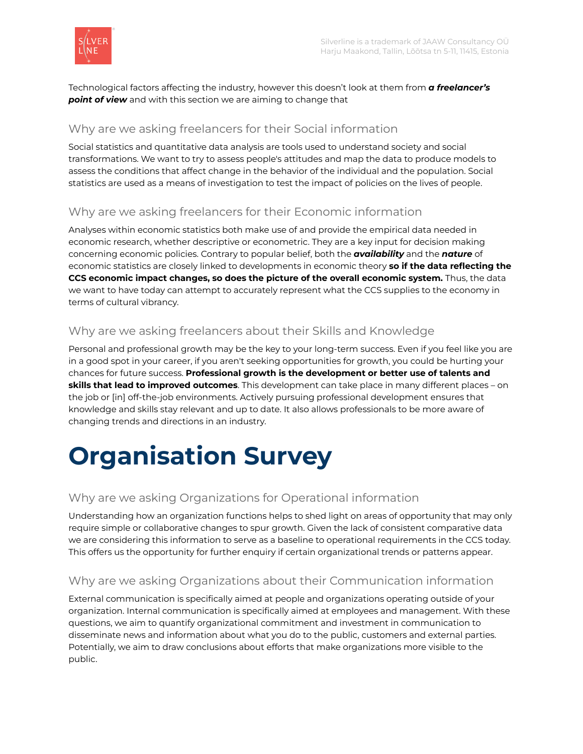

Technological factors affecting the industry, however this doesn't look at them from *a freelancer's point of view* and with this section we are aiming to change that

#### Why are we asking freelancers for their Social information

Social statistics and quantitative data analysis are tools used to understand society and social transformations. We want to try to assess people's attitudes and map the data to produce models to assess the conditions that affect change in the behavior of the individual and the population. Social statistics are used as a means of investigation to test the impact of policies on the lives of people.

#### Why are we asking freelancers for their Economic information

Analyses within economic statistics both make use of and provide the empirical data needed in economic research, whether descriptive or econometric. They are a key input for decision making concerning economic policies. Contrary to popular belief, both the *availability* and the *nature* of economic statistics are closely linked to developments in economic theory **so if the data reflecting the CCS economic impact changes, so does the picture of the overall economic system.** Thus, the data we want to have today can attempt to accurately represent what the CCS supplies to the economy in terms of cultural vibrancy.

#### Why are we asking freelancers about their Skills and Knowledge

Personal and professional growth may be the key to your long-term success. Even if you feel like you are in a good spot in your career, if you aren't seeking opportunities for growth, you could be hurting your chances for future success. **Professional growth is the development or better use of talents and skills that lead to improved outcomes**. This development can take place in many different places – on the job or [in] off-the-job environments. Actively pursuing professional development ensures that knowledge and skills stay relevant and up to date. It also allows professionals to be more aware of changing trends and directions in an industry.

# **Organisation Survey**

### Why are we asking Organizations for Operational information

Understanding how an organization functions helps to shed light on areas of opportunity that may only require simple or collaborative changes to spur growth. Given the lack of consistent comparative data we are considering this information to serve as a baseline to operational requirements in the CCS today. This offers us the opportunity for further enquiry if certain organizational trends or patterns appear.

#### Why are we asking Organizations about their Communication information

External communication is specifically aimed at people and organizations operating outside of your organization. Internal communication is specifically aimed at employees and management. With these questions, we aim to quantify organizational commitment and investment in communication to disseminate news and information about what you do to the public, customers and external parties. Potentially, we aim to draw conclusions about efforts that make organizations more visible to the public.